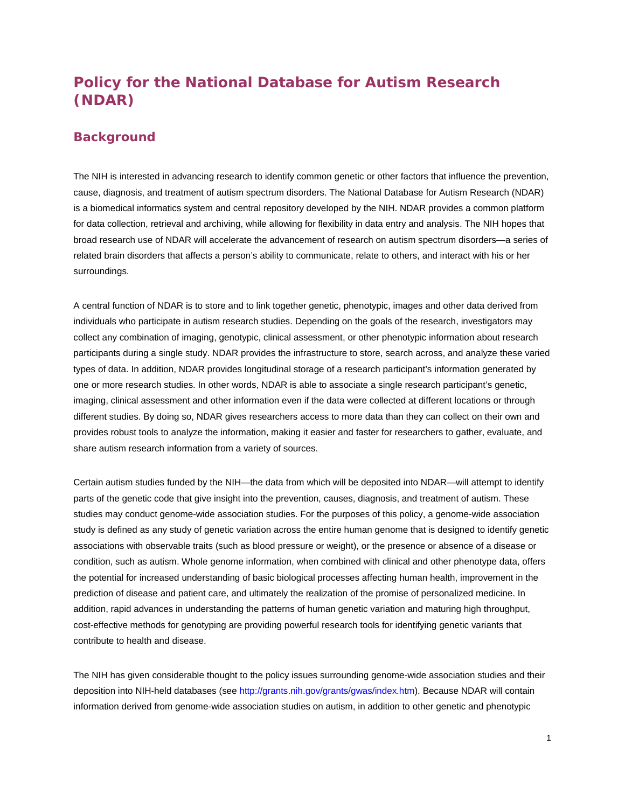# **Policy for the National Database for Autism Research (NDAR)**

# **Background**

The NIH is interested in advancing research to identify common genetic or other factors that influence the prevention, cause, diagnosis, and treatment of autism spectrum disorders. The National Database for Autism Research (NDAR) is a biomedical informatics system and central repository developed by the NIH. NDAR provides a common platform for data collection, retrieval and archiving, while allowing for flexibility in data entry and analysis. The NIH hopes that broad research use of NDAR will accelerate the advancement of research on autism spectrum disorders—a series of related brain disorders that affects a person's ability to communicate, relate to others, and interact with his or her surroundings.

A central function of NDAR is to store and to link together genetic, phenotypic, images and other data derived from individuals who participate in autism research studies. Depending on the goals of the research, investigators may collect any combination of imaging, genotypic, clinical assessment, or other phenotypic information about research participants during a single study. NDAR provides the infrastructure to store, search across, and analyze these varied types of data. In addition, NDAR provides longitudinal storage of a research participant's information generated by one or more research studies. In other words, NDAR is able to associate a single research participant's genetic, imaging, clinical assessment and other information even if the data were collected at different locations or through different studies. By doing so, NDAR gives researchers access to more data than they can collect on their own and provides robust tools to analyze the information, making it easier and faster for researchers to gather, evaluate, and share autism research information from a variety of sources.

Certain autism studies funded by the NIH—the data from which will be deposited into NDAR—will attempt to identify parts of the genetic code that give insight into the prevention, causes, diagnosis, and treatment of autism. These studies may conduct genome-wide association studies. For the purposes of this policy, a genome-wide association study is defined as any study of genetic variation across the entire human genome that is designed to identify genetic associations with observable traits (such as blood pressure or weight), or the presence or absence of a disease or condition, such as autism. Whole genome information, when combined with clinical and other phenotype data, offers the potential for increased understanding of basic biological processes affecting human health, improvement in the prediction of disease and patient care, and ultimately the realization of the promise of personalized medicine. In addition, rapid advances in understanding the patterns of human genetic variation and maturing high throughput, cost-effective methods for genotyping are providing powerful research tools for identifying genetic variants that contribute to health and disease.

The NIH has given considerable thought to the policy issues surrounding genome-wide association studies and their deposition into NIH-held databases (see http://grants.nih.gov/grants/gwas/index.htm). Because NDAR will contain information derived from genome-wide association studies on autism, in addition to other genetic and phenotypic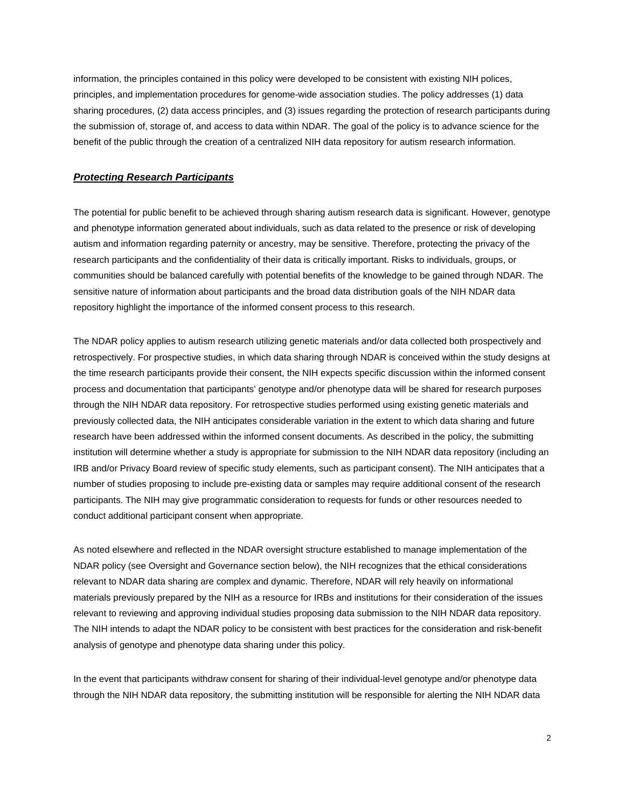information, the principles contained in this policy were developed to be consistent with existing NIH polices, principles, and implementation procedures for genome-wide association studies. The policy addresses (1) data sharing procedures, (2) data access principles, and (3) issues regarding the protection of research participants during the submission of, storage of, and access to data within NDAR. The goal of the policy is to advance science for the benefit of the public through the creation of a centralized NIH data repository for autism research information.

#### *Protecting Research Participants*

The potential for public benefit to be achieved through sharing autism research data is significant. However, genotype and phenotype information generated about individuals, such as data related to the presence or risk of developing autism and information regarding paternity or ancestry, may be sensitive. Therefore, protecting the privacy of the research participants and the confidentiality of their data is critically important. Risks to individuals, groups, or communities should be balanced carefully with potential benefits of the knowledge to be gained through NDAR. The sensitive nature of information about participants and the broad data distribution goals of the NIH NDAR data repository highlight the importance of the informed consent process to this research.

The NDAR policy applies to autism research utilizing genetic materials and/or data collected both prospectively and retrospectively. For prospective studies, in which data sharing through NDAR is conceived within the study designs at the time research participants provide their consent, the NIH expects specific discussion within the informed consent process and documentation that participants' genotype and/or phenotype data will be shared for research purposes through the NIH NDAR data repository. For retrospective studies performed using existing genetic materials and previously collected data, the NIH anticipates considerable variation in the extent to which data sharing and future research have been addressed within the informed consent documents. As described in the policy, the submitting institution will determine whether a study is appropriate for submission to the NIH NDAR data repository (including an IRB and/or Privacy Board review of specific study elements, such as participant consent). The NIH anticipates that a number of studies proposing to include pre-existing data or samples may require additional consent of the research participants. The NIH may give programmatic consideration to requests for funds or other resources needed to conduct additional participant consent when appropriate.

As noted elsewhere and reflected in the NDAR oversight structure established to manage implementation of the NDAR policy (see Oversight and Governance section below), the NIH recognizes that the ethical considerations relevant to NDAR data sharing are complex and dynamic. Therefore, NDAR will rely heavily on informational materials previously prepared by the NIH as a resource for IRBs and institutions for their consideration of the issues relevant to reviewing and approving individual studies proposing data submission to the NIH NDAR data repository. The NIH intends to adapt the NDAR policy to be consistent with best practices for the consideration and risk-benefit analysis of genotype and phenotype data sharing under this policy.

In the event that participants withdraw consent for sharing of their individual-level genotype and/or phenotype data through the NIH NDAR data repository, the submitting institution will be responsible for alerting the NIH NDAR data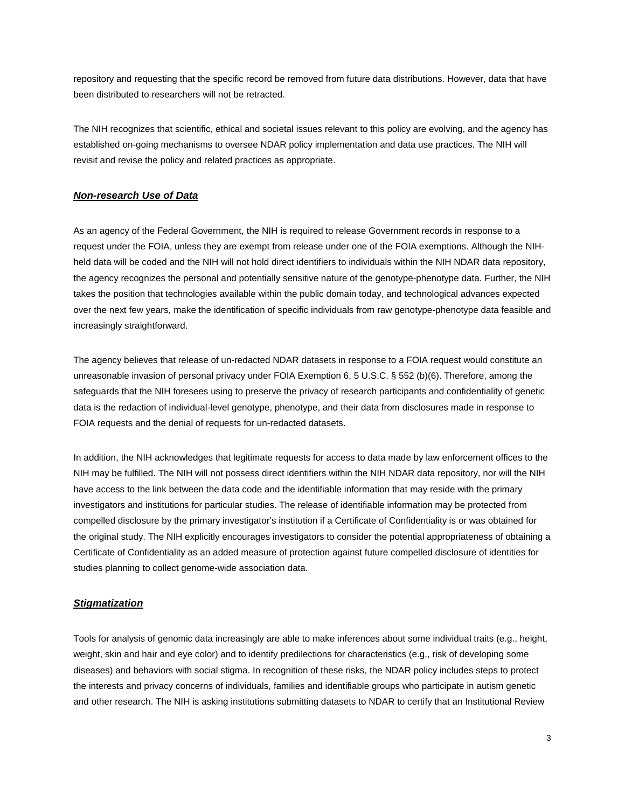repository and requesting that the specific record be removed from future data distributions. However, data that have been distributed to researchers will not be retracted.

The NIH recognizes that scientific, ethical and societal issues relevant to this policy are evolving, and the agency has established on-going mechanisms to oversee NDAR policy implementation and data use practices. The NIH will revisit and revise the policy and related practices as appropriate.

#### *Non-research Use of Data*

As an agency of the Federal Government, the NIH is required to release Government records in response to a request under the FOIA, unless they are exempt from release under one of the FOIA exemptions. Although the NIHheld data will be coded and the NIH will not hold direct identifiers to individuals within the NIH NDAR data repository, the agency recognizes the personal and potentially sensitive nature of the genotype-phenotype data. Further, the NIH takes the position that technologies available within the public domain today, and technological advances expected over the next few years, make the identification of specific individuals from raw genotype-phenotype data feasible and increasingly straightforward.

The agency believes that release of un-redacted NDAR datasets in response to a FOIA request would constitute an unreasonable invasion of personal privacy under FOIA Exemption 6, 5 U.S.C. § 552 (b)(6). Therefore, among the safeguards that the NIH foresees using to preserve the privacy of research participants and confidentiality of genetic data is the redaction of individual-level genotype, phenotype, and their data from disclosures made in response to FOIA requests and the denial of requests for un-redacted datasets.

In addition, the NIH acknowledges that legitimate requests for access to data made by law enforcement offices to the NIH may be fulfilled. The NIH will not possess direct identifiers within the NIH NDAR data repository, nor will the NIH have access to the link between the data code and the identifiable information that may reside with the primary investigators and institutions for particular studies. The release of identifiable information may be protected from compelled disclosure by the primary investigator's institution if a Certificate of Confidentiality is or was obtained for the original study. The NIH explicitly encourages investigators to consider the potential appropriateness of obtaining a Certificate of Confidentiality as an added measure of protection against future compelled disclosure of identities for studies planning to collect genome-wide association data.

#### *Stigmatization*

Tools for analysis of genomic data increasingly are able to make inferences about some individual traits (e.g., height, weight, skin and hair and eye color) and to identify predilections for characteristics (e.g., risk of developing some diseases) and behaviors with social stigma. In recognition of these risks, the NDAR policy includes steps to protect the interests and privacy concerns of individuals, families and identifiable groups who participate in autism genetic and other research. The NIH is asking institutions submitting datasets to NDAR to certify that an Institutional Review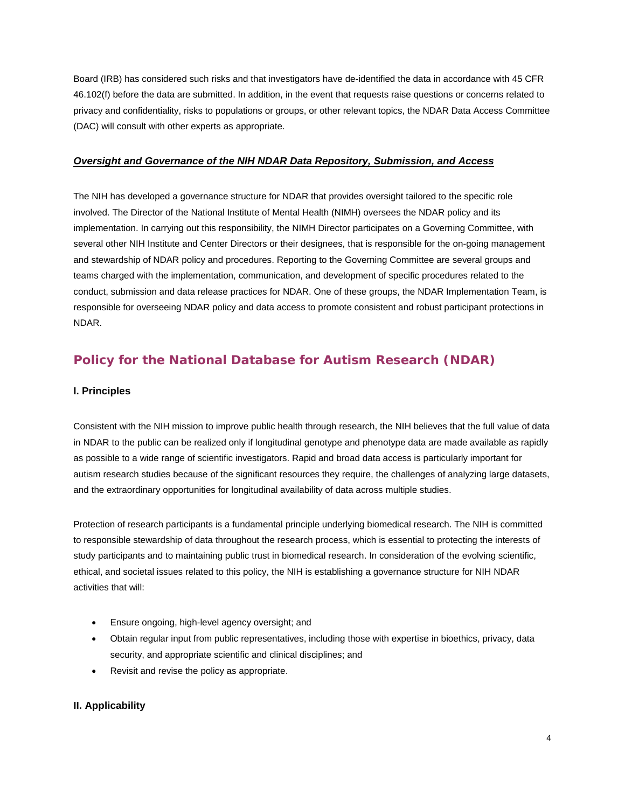Board (IRB) has considered such risks and that investigators have de-identified the data in accordance with 45 CFR 46.102(f) before the data are submitted. In addition, in the event that requests raise questions or concerns related to privacy and confidentiality, risks to populations or groups, or other relevant topics, the NDAR Data Access Committee (DAC) will consult with other experts as appropriate.

#### *Oversight and Governance of the NIH NDAR Data Repository, Submission, and Access*

The NIH has developed a governance structure for NDAR that provides oversight tailored to the specific role involved. The Director of the National Institute of Mental Health (NIMH) oversees the NDAR policy and its implementation. In carrying out this responsibility, the NIMH Director participates on a Governing Committee, with several other NIH Institute and Center Directors or their designees, that is responsible for the on-going management and stewardship of NDAR policy and procedures. Reporting to the Governing Committee are several groups and teams charged with the implementation, communication, and development of specific procedures related to the conduct, submission and data release practices for NDAR. One of these groups, the NDAR Implementation Team, is responsible for overseeing NDAR policy and data access to promote consistent and robust participant protections in NDAR.

# **Policy for the National Database for Autism Research (NDAR)**

#### **I. Principles**

Consistent with the NIH mission to improve public health through research, the NIH believes that the full value of data in NDAR to the public can be realized only if longitudinal genotype and phenotype data are made available as rapidly as possible to a wide range of scientific investigators. Rapid and broad data access is particularly important for autism research studies because of the significant resources they require, the challenges of analyzing large datasets, and the extraordinary opportunities for longitudinal availability of data across multiple studies.

Protection of research participants is a fundamental principle underlying biomedical research. The NIH is committed to responsible stewardship of data throughout the research process, which is essential to protecting the interests of study participants and to maintaining public trust in biomedical research. In consideration of the evolving scientific, ethical, and societal issues related to this policy, the NIH is establishing a governance structure for NIH NDAR activities that will:

- Ensure ongoing, high-level agency oversight; and
- Obtain regular input from public representatives, including those with expertise in bioethics, privacy, data security, and appropriate scientific and clinical disciplines; and
- Revisit and revise the policy as appropriate.

# **II. Applicability**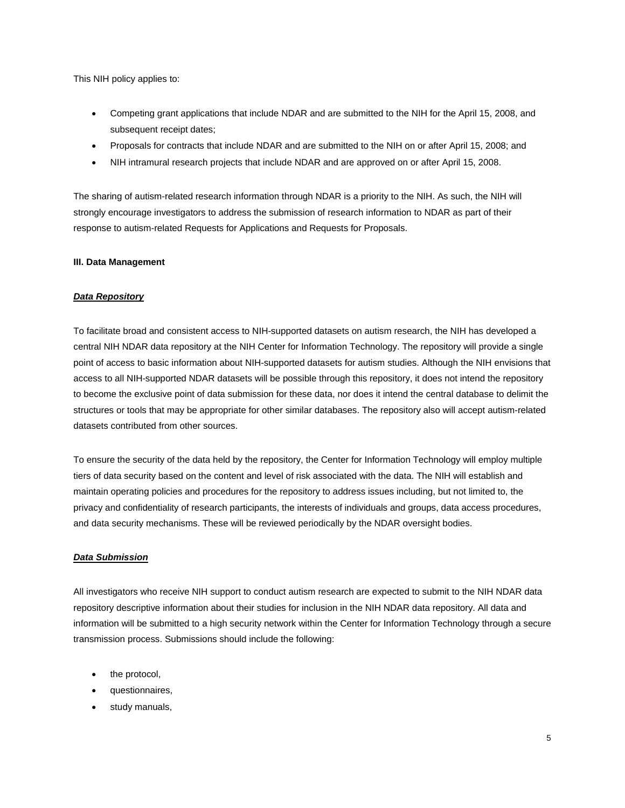This NIH policy applies to:

- Competing grant applications that include NDAR and are submitted to the NIH for the April 15, 2008, and subsequent receipt dates;
- Proposals for contracts that include NDAR and are submitted to the NIH on or after April 15, 2008; and
- NIH intramural research projects that include NDAR and are approved on or after April 15, 2008.

The sharing of autism-related research information through NDAR is a priority to the NIH. As such, the NIH will strongly encourage investigators to address the submission of research information to NDAR as part of their response to autism-related Requests for Applications and Requests for Proposals.

#### **III. Data Management**

#### *Data Repository*

To facilitate broad and consistent access to NIH-supported datasets on autism research, the NIH has developed a central NIH NDAR data repository at the NIH Center for Information Technology. The repository will provide a single point of access to basic information about NIH-supported datasets for autism studies. Although the NIH envisions that access to all NIH-supported NDAR datasets will be possible through this repository, it does not intend the repository to become the exclusive point of data submission for these data, nor does it intend the central database to delimit the structures or tools that may be appropriate for other similar databases. The repository also will accept autism-related datasets contributed from other sources.

To ensure the security of the data held by the repository, the Center for Information Technology will employ multiple tiers of data security based on the content and level of risk associated with the data. The NIH will establish and maintain operating policies and procedures for the repository to address issues including, but not limited to, the privacy and confidentiality of research participants, the interests of individuals and groups, data access procedures, and data security mechanisms. These will be reviewed periodically by the NDAR oversight bodies.

#### *Data Submission*

All investigators who receive NIH support to conduct autism research are expected to submit to the NIH NDAR data repository descriptive information about their studies for inclusion in the NIH NDAR data repository. All data and information will be submitted to a high security network within the Center for Information Technology through a secure transmission process. Submissions should include the following:

- the protocol,
- questionnaires,
- study manuals,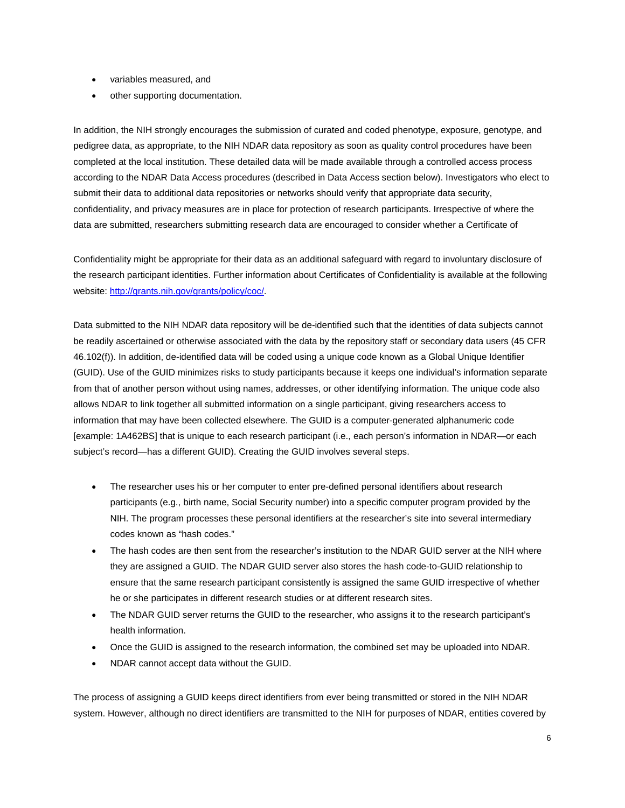- variables measured, and
- other supporting documentation.

In addition, the NIH strongly encourages the submission of curated and coded phenotype, exposure, genotype, and pedigree data, as appropriate, to the NIH NDAR data repository as soon as quality control procedures have been completed at the local institution. These detailed data will be made available through a controlled access process according to the NDAR Data Access procedures (described in Data Access section below). Investigators who elect to submit their data to additional data repositories or networks should verify that appropriate data security, confidentiality, and privacy measures are in place for protection of research participants. Irrespective of where the data are submitted, researchers submitting research data are encouraged to consider whether a Certificate of

Confidentiality might be appropriate for their data as an additional safeguard with regard to involuntary disclosure of the research participant identities. Further information about Certificates of Confidentiality is available at the following website[: http://grants.nih.gov/grants/policy/coc/.](http://grants.nih.gov/grants/policy/coc/)

Data submitted to the NIH NDAR data repository will be de-identified such that the identities of data subjects cannot be readily ascertained or otherwise associated with the data by the repository staff or secondary data users (45 CFR 46.102(f)). In addition, de-identified data will be coded using a unique code known as a Global Unique Identifier (GUID). Use of the GUID minimizes risks to study participants because it keeps one individual's information separate from that of another person without using names, addresses, or other identifying information. The unique code also allows NDAR to link together all submitted information on a single participant, giving researchers access to information that may have been collected elsewhere. The GUID is a computer-generated alphanumeric code [example: 1A462BS] that is unique to each research participant (i.e., each person's information in NDAR—or each subject's record—has a different GUID). Creating the GUID involves several steps.

- The researcher uses his or her computer to enter pre-defined personal identifiers about research participants (e.g., birth name, Social Security number) into a specific computer program provided by the NIH. The program processes these personal identifiers at the researcher's site into several intermediary codes known as "hash codes."
- The hash codes are then sent from the researcher's institution to the NDAR GUID server at the NIH where they are assigned a GUID. The NDAR GUID server also stores the hash code-to-GUID relationship to ensure that the same research participant consistently is assigned the same GUID irrespective of whether he or she participates in different research studies or at different research sites.
- The NDAR GUID server returns the GUID to the researcher, who assigns it to the research participant's health information.
- Once the GUID is assigned to the research information, the combined set may be uploaded into NDAR.
- NDAR cannot accept data without the GUID.

The process of assigning a GUID keeps direct identifiers from ever being transmitted or stored in the NIH NDAR system. However, although no direct identifiers are transmitted to the NIH for purposes of NDAR, entities covered by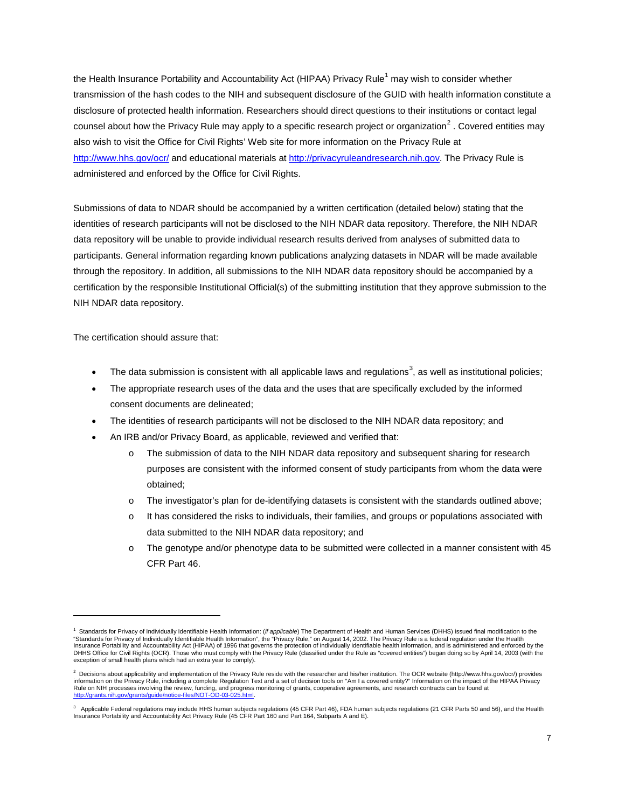the Health Insurance Portability and Accountability Act (HIPAA) Privacy Rule<sup>[1](#page-6-0)</sup> may wish to consider whether transmission of the hash codes to the NIH and subsequent disclosure of the GUID with health information constitute a disclosure of protected health information. Researchers should direct questions to their institutions or contact legal counsel about how the Privacy Rule may apply to a specific research project or organization<sup>[2](#page-6-1)</sup>. Covered entities may <u><http://www.hhs.gov/ocr/></u> and educational materials at <u>http://privacyruleandresearch.nih.gov</u>. The Privacy Rule is also wish to visit the Office for Civil Rights' Web site for more information on the Privacy Rule at administered and enforced by the Office for Civil Rights.

Submissions of data to NDAR should be accompanied by a written certification (detailed below) stating that the identities of research participants will not be disclosed to the NIH NDAR data repository. Therefore, the NIH NDAR data repository will be unable to provide individual research results derived from analyses of submitted data to participants. General information regarding known publications analyzing datasets in NDAR will be made available through the repository. In addition, all submissions to the NIH NDAR data repository should be accompanied by a certification by the responsible Institutional Official(s) of the submitting institution that they approve submission to the NIH NDAR data repository.

The certification should assure that:

 $\overline{\phantom{0}}$ 

- The data submission is consistent with all applicable laws and regulations<sup>[3](#page-6-2)</sup>, as well as institutional policies;
- The appropriate research uses of the data and the uses that are specifically excluded by the informed consent documents are delineated;
- The identities of research participants will not be disclosed to the NIH NDAR data repository; and
- An IRB and/or Privacy Board, as applicable, reviewed and verified that:
	- o The submission of data to the NIH NDAR data repository and subsequent sharing for research purposes are consistent with the informed consent of study participants from whom the data were obtained;
	- o The investigator's plan for de-identifying datasets is consistent with the standards outlined above;
	- o It has considered the risks to individuals, their families, and groups or populations associated with data submitted to the NIH NDAR data repository; and
	- o The genotype and/or phenotype data to be submitted were collected in a manner consistent with 45 CFR Part 46.

<span id="page-6-0"></span>Standards for Privacy of Individually Identifiable Health Information: (*if applicable*) The Department of Health and Human Services (DHHS) issued final modification to the "Standards for Privacy of Individually Identifiable Health Information", the "Privacy Rule," on August 14, 2002. The Privacy Rule is a federal regulation under the Health Insurance Portability and Accountability Act (HIPAA) of 1996 that governs the protection of individually identifiable health information, and is administered and enforced by the<br>DHHS Office for Civil Rights (OCR). Those wh exception of small health plans which had an extra year to comply).

<span id="page-6-1"></span> $^2$  Decisions about applicability and implementation of the Privacy Rule reside with the researcher and his/her institution. The OCR website (http://www.hhs.gov/ocr/) provides information on the Privacy Rule, including a complete Regulation Text and a set of decision tools on "Am I a covered entity?" Information on the impact of the HIPAA Privacy Rule on NIH processes involving the review, funding, and progress monitoring of grants, cooperative agreements, and research contracts can be found at http://grants.nih.gov/grants/guide/notice-files/NOT-OD-03-025.html. meter.net., randing, and provide the

<span id="page-6-2"></span>Applicable Federal regulations may include HHS human subjects regulations (45 CFR Part 46), FDA human subjects regulations (21 CFR Parts 50 and 56), and the Health Insurance Portability and Accountability Act Privacy Rule (45 CFR Part 160 and Part 164, Subparts A and E).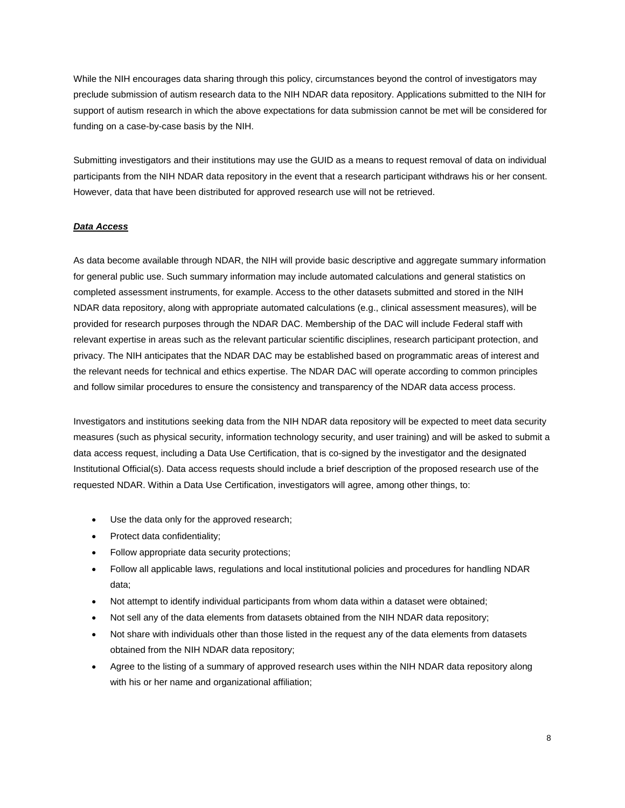While the NIH encourages data sharing through this policy, circumstances beyond the control of investigators may preclude submission of autism research data to the NIH NDAR data repository. Applications submitted to the NIH for support of autism research in which the above expectations for data submission cannot be met will be considered for funding on a case-by-case basis by the NIH.

Submitting investigators and their institutions may use the GUID as a means to request removal of data on individual participants from the NIH NDAR data repository in the event that a research participant withdraws his or her consent. However, data that have been distributed for approved research use will not be retrieved.

#### *Data Access*

As data become available through NDAR, the NIH will provide basic descriptive and aggregate summary information for general public use. Such summary information may include automated calculations and general statistics on completed assessment instruments, for example. Access to the other datasets submitted and stored in the NIH NDAR data repository, along with appropriate automated calculations (e.g., clinical assessment measures), will be provided for research purposes through the NDAR DAC. Membership of the DAC will include Federal staff with relevant expertise in areas such as the relevant particular scientific disciplines, research participant protection, and privacy. The NIH anticipates that the NDAR DAC may be established based on programmatic areas of interest and the relevant needs for technical and ethics expertise. The NDAR DAC will operate according to common principles and follow similar procedures to ensure the consistency and transparency of the NDAR data access process.

Investigators and institutions seeking data from the NIH NDAR data repository will be expected to meet data security measures (such as physical security, information technology security, and user training) and will be asked to submit a data access request, including a Data Use Certification, that is co-signed by the investigator and the designated Institutional Official(s). Data access requests should include a brief description of the proposed research use of the requested NDAR. Within a Data Use Certification, investigators will agree, among other things, to:

- Use the data only for the approved research;
- Protect data confidentiality;
- Follow appropriate data security protections;
- Follow all applicable laws, regulations and local institutional policies and procedures for handling NDAR data;
- Not attempt to identify individual participants from whom data within a dataset were obtained;
- Not sell any of the data elements from datasets obtained from the NIH NDAR data repository;
- Not share with individuals other than those listed in the request any of the data elements from datasets obtained from the NIH NDAR data repository;
- Agree to the listing of a summary of approved research uses within the NIH NDAR data repository along with his or her name and organizational affiliation;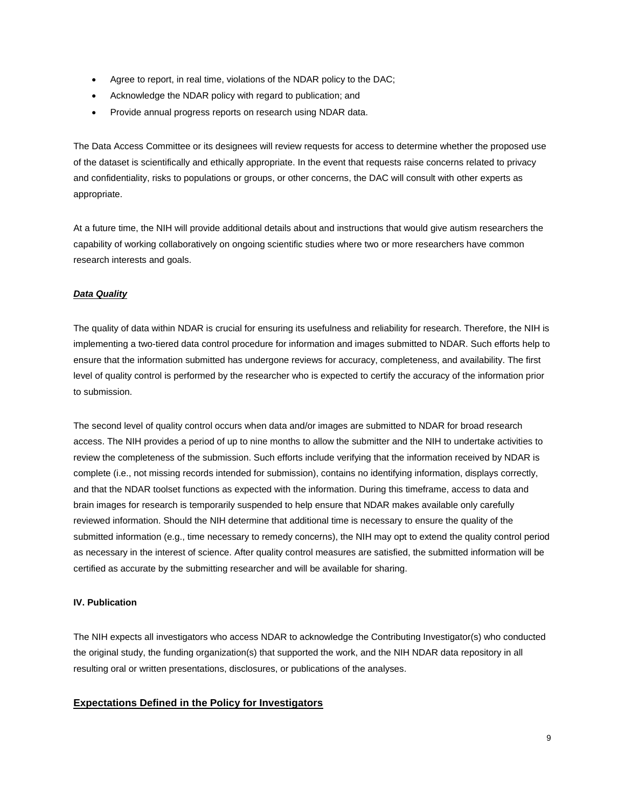- Agree to report, in real time, violations of the NDAR policy to the DAC;
- Acknowledge the NDAR policy with regard to publication; and
- Provide annual progress reports on research using NDAR data.

The Data Access Committee or its designees will review requests for access to determine whether the proposed use of the dataset is scientifically and ethically appropriate. In the event that requests raise concerns related to privacy and confidentiality, risks to populations or groups, or other concerns, the DAC will consult with other experts as appropriate.

At a future time, the NIH will provide additional details about and instructions that would give autism researchers the capability of working collaboratively on ongoing scientific studies where two or more researchers have common research interests and goals.

#### *Data Quality*

The quality of data within NDAR is crucial for ensuring its usefulness and reliability for research. Therefore, the NIH is implementing a two-tiered data control procedure for information and images submitted to NDAR. Such efforts help to ensure that the information submitted has undergone reviews for accuracy, completeness, and availability. The first level of quality control is performed by the researcher who is expected to certify the accuracy of the information prior to submission.

The second level of quality control occurs when data and/or images are submitted to NDAR for broad research access. The NIH provides a period of up to nine months to allow the submitter and the NIH to undertake activities to review the completeness of the submission. Such efforts include verifying that the information received by NDAR is complete (i.e., not missing records intended for submission), contains no identifying information, displays correctly, and that the NDAR toolset functions as expected with the information. During this timeframe, access to data and brain images for research is temporarily suspended to help ensure that NDAR makes available only carefully reviewed information. Should the NIH determine that additional time is necessary to ensure the quality of the submitted information (e.g., time necessary to remedy concerns), the NIH may opt to extend the quality control period as necessary in the interest of science. After quality control measures are satisfied, the submitted information will be certified as accurate by the submitting researcher and will be available for sharing.

#### **IV. Publication**

The NIH expects all investigators who access NDAR to acknowledge the Contributing Investigator(s) who conducted the original study, the funding organization(s) that supported the work, and the NIH NDAR data repository in all resulting oral or written presentations, disclosures, or publications of the analyses.

# **Expectations Defined in the Policy for Investigators**